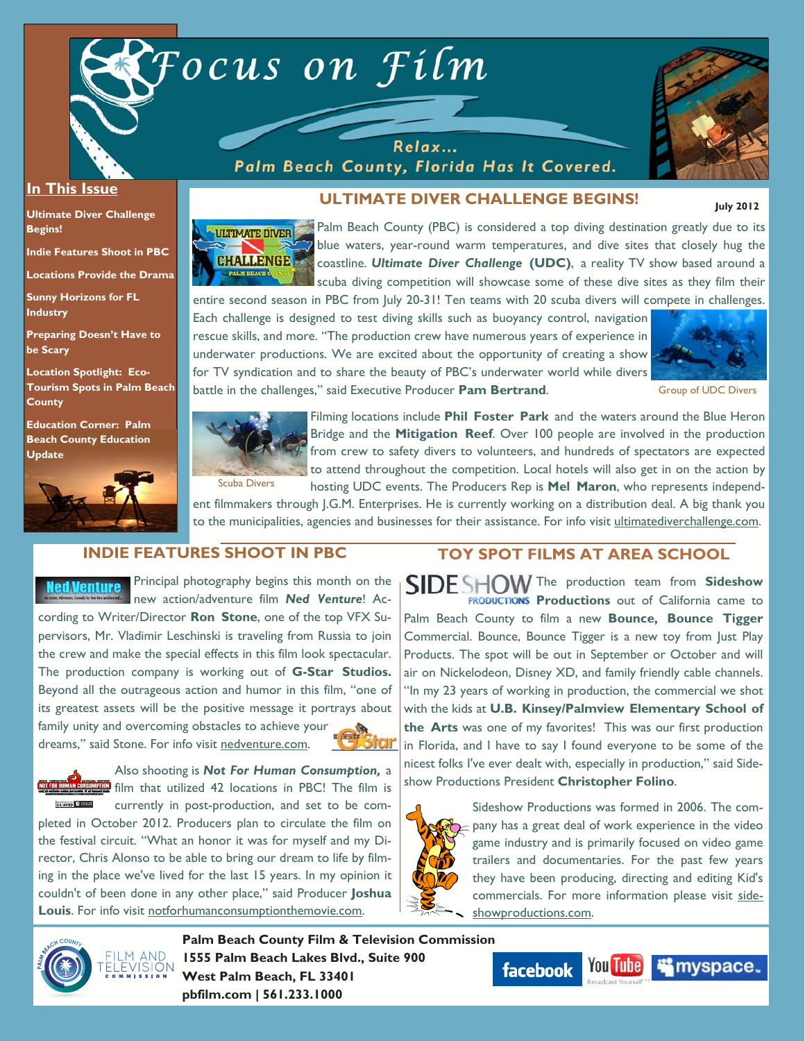

Relax... Palm Beach County, Florida Has It Covered.



 **July 2012** 

#### **In This Issue**

**Ultimate Diver Challenge Begins!** 

**Indie Features Shoot in PBC** 

**Locations Provide the Drama** 

**Sunny Horizons for FL Industry** 

**Preparing Doesn't Have to be Scary** 

**Location Spotlight: Eco-Tourism Spots in Palm Beach County** 

**Education Corner: Palm Beach County Education Update**



# **ULTIMATE DIVER CHALLENGE BEGINS!**

Palm Beach County (PBC) is considered a top diving destination greatly due to its ULTIMATE DIVER blue waters, year-round warm temperatures, and dive sites that closely hug the **CHALLENGE** coastline. *Ultimate Diver Challenge* **(UDC)**, a reality TV show based around a scuba diving competition will showcase some of these dive sites as they film their entire second season in PBC from July 20-31! Ten teams with 20 scuba divers will compete in challenges.

Each challenge is designed to test diving skills such as buoyancy control, navigation rescue skills, and more. "The production crew have numerous years of experience in underwater productions. We are excited about the opportunity of creating a show for TV syndication and to share the beauty of PBC's underwater world while divers battle in the challenges," said Executive Producer **Pam Bertrand**.



Group of UDC Divers



Filming locations include **Phil Foster Park** and the waters around the Blue Heron Bridge and the **Mitigation Reef**. Over 100 people are involved in the production from crew to safety divers to volunteers, and hundreds of spectators are expected to attend throughout the competition. Local hotels will also get in on the action by hosting UDC events. The Producers Rep is **Mel Maron**, who represents independ-

ent filmmakers through J.G.M. Enterprises. He is currently working on a distribution deal. A big thank you to the municipalities, agencies and businesses for their assistance. For info visit ultimatediverchallenge.com.

# **INDIE FEATURES SHOOT IN PBC**

Principal photography begins this month on the ed Venture new action/adventure film *Ned Venture*! According to Writer/Director **Ron Stone**, one of the top VFX Supervisors, Mr. Vladimir Leschinski is traveling from Russia to join the crew and make the special effects in this film look spectacular. The production company is working out of **G-Star Studios.**  Beyond all the outrageous action and humor in this film, "one of its greatest assets will be the positive message it portrays about family unity and overcoming obstacles to achieve your

dreams," said Stone. For info visit nedventure.com.

Also shooting is *Not For Human Consumption,* a **P** film that utilized 42 locations in PBC! The film is **RATED** *Email* currently in post-production, and set to be completed in October 2012. Producers plan to circulate the film on the festival circuit. "What an honor it was for myself and my Director, Chris Alonso to be able to bring our dream to life by filming in the place we've lived for the last 15 years. In my opinion it couldn't of been done in any other place," said Producer **Joshua Louis**. For info visit notforhumanconsumptionthemovie.com.

### **TOY SPOT FILMS AT AREA SCHOOL**

SIDE SHOW The production team from Sideshow **PRODUCTIONS Productions** out of California came to Palm Beach County to film a new **Bounce, Bounce Tigger**  Commercial. Bounce, Bounce Tigger is a new toy from Just Play Products. The spot will be out in September or October and will air on Nickelodeon, Disney XD, and family friendly cable channels. "In my 23 years of working in production, the commercial we shot with the kids at **U.B. Kinsey/Palmview Elementary School of the Arts** was one of my favorites! This was our first production in Florida, and I have to say I found everyone to be some of the nicest folks I've ever dealt with, especially in production," said Sideshow Productions President **Christopher Folino**.



Sideshow Productions was formed in 2006. The company has a great deal of work experience in the video game industry and is primarily focused on video game trailers and documentaries. For the past few years they have been producing, directing and editing Kid's commercials. For more information please visit sideshowproductions.com.



**Palm Beach County Film & Television Commission 1555 Palm Beach Lakes Blvd., Suite 900 West Palm Beach, FL 33401 pbfilm.com | 561.233.1000** 



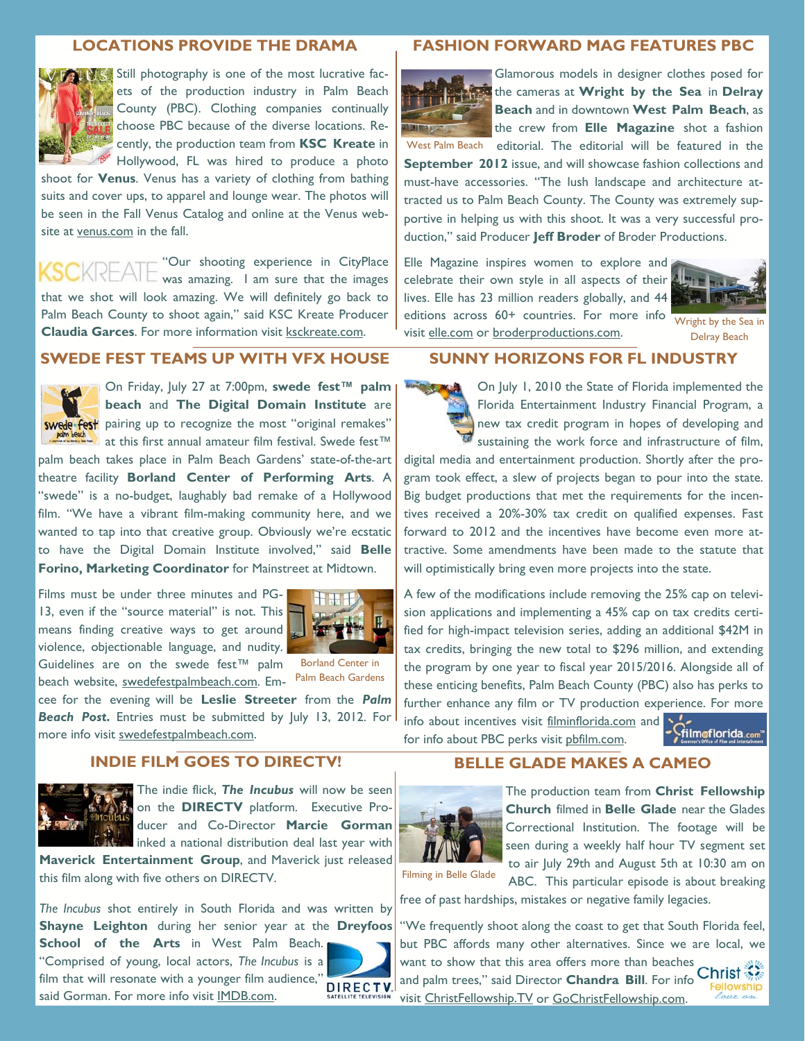### **LOCATIONS PROVIDE THE DRAMA**



Still photography is one of the most lucrative facets of the production industry in Palm Beach County (PBC). Clothing companies continually choose PBC because of the diverse locations. Recently, the production team from **KSC Kreate** in Hollywood, FL was hired to produce a photo

shoot for **Venus**. Venus has a variety of clothing from bathing suits and cover ups, to apparel and lounge wear. The photos will be seen in the Fall Venus Catalog and online at the Venus website at venus.com in the fall.

"Our shooting experience in CityPlace was amazing. I am sure that the images that we shot will look amazing. We will definitely go back to Palm Beach County to shoot again," said KSC Kreate Producer **Claudia Garces**. For more information visit ksckreate.com.

### **SWEDE FEST TEAMS UP WITH VFX HOUSE**



On Friday, July 27 at 7:00pm, **swede fest™ palm beach** and **The Digital Domain Institute** are swede fest pairing up to recognize the most "original remakes" **at this first annual amateur film festival. Swede fest**™

palm beach takes place in Palm Beach Gardens' state-of-the-art theatre facility **Borland Center of Performing Arts**. A "swede" is a no-budget, laughably bad remake of a Hollywood film. "We have a vibrant film-making community here, and we wanted to tap into that creative group. Obviously we're ecstatic to have the Digital Domain Institute involved," said **Belle Forino, Marketing Coordinator** for Mainstreet at Midtown.

Films must be under three minutes and PG-13, even if the "source material" is not. This means finding creative ways to get around violence, objectionable language, and nudity.



Guidelines are on the swede fest™ palm beach website, swedefestpalmbeach.com. Em-

Borland Center in Palm Beach Gardens

cee for the evening will be **Leslie Streeter** from the *Palm*  **Beach Post.** Entries must be submitted by July 13, 2012. For more info visit swedefestpalmbeach.com.

## **INDIE FILM GOES TO DIRECTV!**



The indie flick, *The Incubus* will now be seen on the **DIRECTV** platform. Executive Producer and Co-Director **Marcie Gorman**  inked a national distribution deal last year with

**Maverick Entertainment Group**, and Maverick just released this film along with five others on DIRECTV.

*The Incubus* shot entirely in South Florida and was written by **Shayne Leighton** during her senior year at the **Dreyfoos** 

**School of the Arts** in West Palm Beach. "Comprised of young, local actors, *The Incubus* is a film that will resonate with a younger film audience,"<br>and Cannon Francesco is family IMDD and said Gorman. For more info visit IMDB.com.



#### **FASHION FORWARD MAG FEATURES PBC**



Glamorous models in designer clothes posed for the cameras at **Wright by the Sea** in **Delray Beach** and in downtown **West Palm Beach**, as the crew from **Elle Magazine** shot a fashion West Palm Beach editorial. The editorial will be featured in the

**September 2012** issue, and will showcase fashion collections and must-have accessories. "The lush landscape and architecture attracted us to Palm Beach County. The County was extremely supportive in helping us with this shoot. It was a very successful production," said Producer **Jeff Broder** of Broder Productions.

Elle Magazine inspires women to explore and celebrate their own style in all aspects of their  $\triangle$ lives. Elle has 23 million readers globally, and 44 editions across 60+ countries. For more info visit elle.com or broderproductions.com.



Wright by the Sea in Delray Beach

#### **SUNNY HORIZONS FOR FL INDUSTRY**

On July 1, 2010 the State of Florida implemented the Florida Entertainment Industry Financial Program, a new tax credit program in hopes of developing and sustaining the work force and infrastructure of film,

digital media and entertainment production. Shortly after the program took effect, a slew of projects began to pour into the state. Big budget productions that met the requirements for the incentives received a 20%-30% tax credit on qualified expenses. Fast forward to 2012 and the incentives have become even more attractive. Some amendments have been made to the statute that will optimistically bring even more projects into the state.

A few of the modifications include removing the 25% cap on television applications and implementing a 45% cap on tax credits certified for high-impact television series, adding an additional \$42M in tax credits, bringing the new total to \$296 million, and extending the program by one year to fiscal year 2015/2016. Alongside all of these enticing benefits, Palm Beach County (PBC) also has perks to further enhance any film or TV production experience. For more info about incentives visit filminflorida.com and

filmoflorida.com

### **BELLE GLADE MAKES A CAMEO**

for info about PBC perks visit pbfilm.com.



The production team from **Christ Fellowship Church** filmed in **Belle Glade** near the Glades Correctional Institution. The footage will be seen during a weekly half hour TV segment set to air July 29th and August 5th at 10:30 am on

ABC. This particular episode is about breaking free of past hardships, mistakes or negative family legacies.

"We frequently shoot along the coast to get that South Florida feel, but PBC affords many other alternatives. Since we are local, we want to show that this area offers more than beaches and palm trees," said Director **Chandra Bill**. For info Christ visit ChristFellowship.TV or GoChristFellowship.com.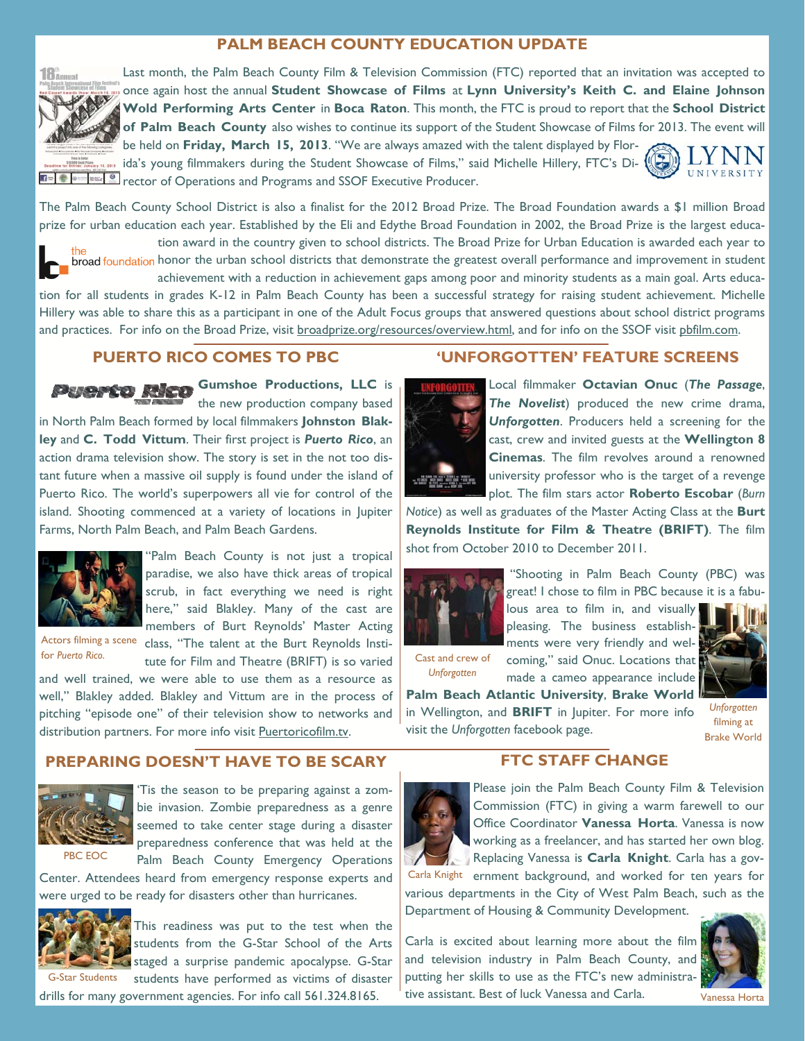# **PALM BEACH COUNTY EDUCATION UPDATE**





Last month, the Palm Beach County Film & Television Commission (FTC) reported that an invitation was accepted to once again host the annual **Student Showcase of Films** at **Lynn University's Keith C. and Elaine Johnson Wold Performing Arts Center** in **Boca Raton**. This month, the FTC is proud to report that the **School District of Palm Beach County** also wishes to continue its support of the Student Showcase of Films for 2013. The event will be held on **Friday, March 15, 2013**. "We are always amazed with the talent displayed by Florida's young filmmakers during the Student Showcase of Films," said Michelle Hillery, FTC's Di-

**rector of Operations and Programs and SSOF Executive Producer.** 

The Palm Beach County School District is also a finalist for the 2012 Broad Prize. The Broad Foundation awards a \$1 million Broad prize for urban education each year. Established by the Eli and Edythe Broad Foundation in 2002, the Broad Prize is the largest educa-



tion award in the country given to school districts. The Broad Prize for Urban Education is awarded each year to broad foundation honor the urban school districts that demonstrate the greatest overall performance and improvement in student achievement with a reduction in achievement gaps among poor and minority students as a main goal. Arts educa-

tion for all students in grades K-12 in Palm Beach County has been a successful strategy for raising student achievement. Michelle Hillery was able to share this as a participant in one of the Adult Focus groups that answered questions about school district programs and practices. For info on the Broad Prize, visit broadprize.org/resources/overview.html, and for info on the SSOF visit pbfilm.com.

## **PUERTO RICO COMES TO PBC**

**Gumshoe Productions, LLC** is the new production company based in North Palm Beach formed by local filmmakers **Johnston Blakley** and **C. Todd Vittum**. Their first project is *Puerto Rico*, an action drama television show. The story is set in the not too distant future when a massive oil supply is found under the island of Puerto Rico. The world's superpowers all vie for control of the island. Shooting commenced at a variety of locations in Jupiter Farms, North Palm Beach, and Palm Beach Gardens.



'Palm Beach County is not just a tropical paradise, we also have thick areas of tropical scrub, in fact everything we need is right here," said Blakley. Many of the cast are members of Burt Reynolds' Master Acting

for *Puerto Rico*.

Actors filming a scene class, "The talent at the Burt Reynolds Institute for Film and Theatre (BRIFT) is so varied

and well trained, we were able to use them as a resource as well," Blakley added. Blakley and Vittum are in the process of pitching "episode one" of their television show to networks and distribution partners. For more info visit Puertoricofilm.tv.

### **PREPARING DOESN'T HAVE TO BE SCARY**



'Tis the season to be preparing against a zombie invasion. Zombie preparedness as a genre seemed to take center stage during a disaster preparedness conference that was held at the Palm Beach County Emergency Operations

Center. Attendees heard from emergency response experts and were urged to be ready for disasters other than hurricanes.



This readiness was put to the test when the students from the G-Star School of the Arts staged a surprise pandemic apocalypse. G-Star students have performed as victims of disaster

drills for many government agencies. For info call 561.324.8165.

### **'UNFORGOTTEN' FEATURE SCREENS**



Local filmmaker **Octavian Onuc** (*The Passage*, *The Novelist*) produced the new crime drama, *Unforgotten*. Producers held a screening for the cast, crew and invited guests at the **Wellington 8 Cinemas**. The film revolves around a renowned university professor who is the target of a revenge plot. The film stars actor **Roberto Escobar** (*Burn* 

*Notice*) as well as graduates of the Master Acting Class at the **Burt Reynolds Institute for Film & Theatre (BRIFT)**. The film shot from October 2010 to December 2011.



 "Shooting in Palm Beach County (PBC) was great! I chose to film in PBC because it is a fabulous area to film in, and visually

Cast and crew of *Unforgotten*



UNIVERSITY

**Palm Beach Atlantic University**, **Brake World** in Wellington, and **BRIFT** in Jupiter. For more info visit the *Unforgotten* facebook page.

filming at Brake World

### **FTC STAFF CHANGE**



Please join the Palm Beach County Film & Television Commission (FTC) in giving a warm farewell to our Office Coordinator **Vanessa Horta**. Vanessa is now working as a freelancer, and has started her own blog. Replacing Vanessa is **Carla Knight**. Carla has a gov-

Carla Knight ernment background, and worked for ten years for various departments in the City of West Palm Beach, such as the Department of Housing & Community Development.

Carla is excited about learning more about the film and television industry in Palm Beach County, and putting her skills to use as the FTC's new administrative assistant. Best of luck Vanessa and Carla.



Vanessa Horta